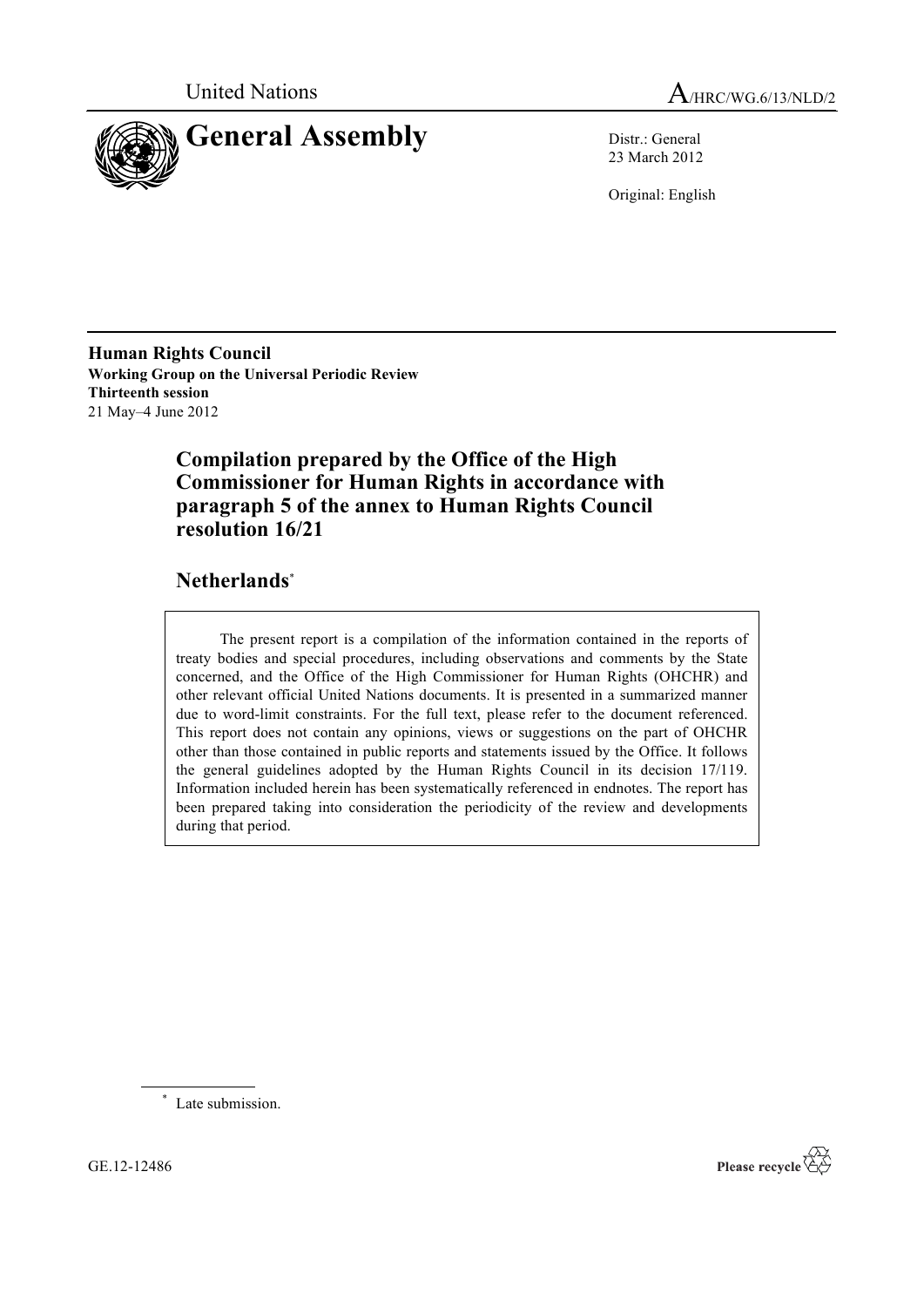



23 March 2012

Original: English

**Human Rights Council Working Group on the Universal Periodic Review Thirteenth session** 21 May–4 June 2012

## **Compilation prepared by the Office of the High Commissioner for Human Rights in accordance with paragraph 5 of the annex to Human Rights Council resolution 16/21**

## **Netherlands**\*

The present report is a compilation of the information contained in the reports of treaty bodies and special procedures, including observations and comments by the State concerned, and the Office of the High Commissioner for Human Rights (OHCHR) and other relevant official United Nations documents. It is presented in a summarized manner due to word-limit constraints. For the full text, please refer to the document referenced. This report does not contain any opinions, views or suggestions on the part of OHCHR other than those contained in public reports and statements issued by the Office. It follows the general guidelines adopted by the Human Rights Council in its decision 17/119. Information included herein has been systematically referenced in endnotes. The report has been prepared taking into consideration the periodicity of the review and developments during that period.

\* Late submission.

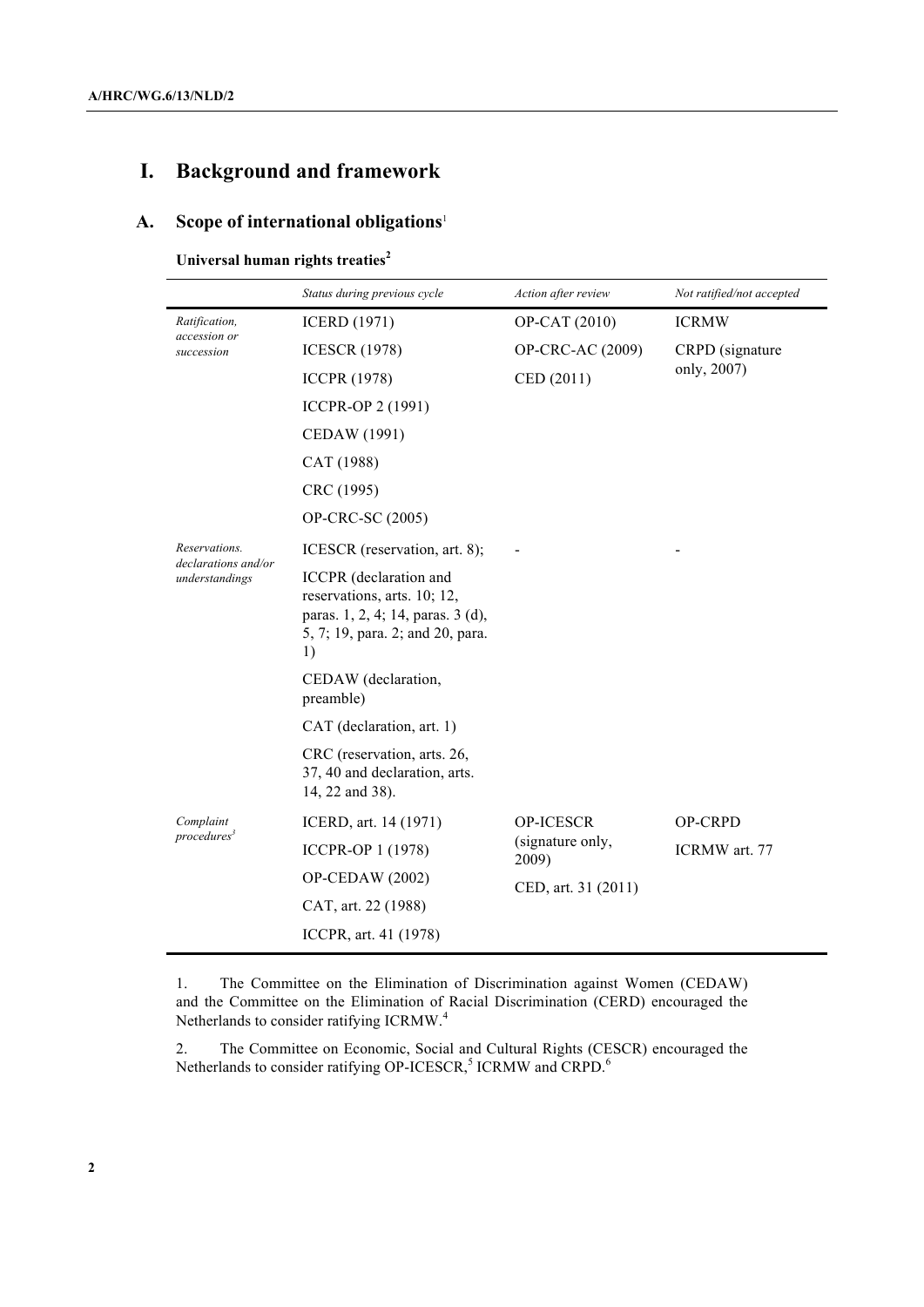# **I. Background and framework**

### **A. Scope of international obligations**<sup>1</sup>

### **Universal human rights treaties<sup>2</sup>**

|                                             | Status during previous cycle                                                                                                         | Action after review       | Not ratified/not accepted |
|---------------------------------------------|--------------------------------------------------------------------------------------------------------------------------------------|---------------------------|---------------------------|
| Ratification,<br>accession or<br>succession | <b>ICERD</b> (1971)                                                                                                                  | OP-CAT (2010)             | <b>ICRMW</b>              |
|                                             | <b>ICESCR (1978)</b>                                                                                                                 | OP-CRC-AC (2009)          | CRPD (signature           |
|                                             | <b>ICCPR (1978)</b>                                                                                                                  | CED (2011)                | only, 2007)               |
|                                             | ICCPR-OP 2 (1991)                                                                                                                    |                           |                           |
|                                             | CEDAW (1991)                                                                                                                         |                           |                           |
|                                             | CAT (1988)                                                                                                                           |                           |                           |
|                                             | CRC (1995)                                                                                                                           |                           |                           |
|                                             | OP-CRC-SC (2005)                                                                                                                     |                           |                           |
| Reservations.                               | ICESCR (reservation, art. 8);                                                                                                        |                           |                           |
| declarations and/or<br>understandings       | ICCPR (declaration and<br>reservations, arts. 10; 12,<br>paras. 1, 2, 4; 14, paras. 3 (d),<br>5, 7; 19, para. 2; and 20, para.<br>1) |                           |                           |
|                                             | CEDAW (declaration,<br>preamble)                                                                                                     |                           |                           |
|                                             | CAT (declaration, art. 1)                                                                                                            |                           |                           |
|                                             | CRC (reservation, arts. 26,<br>37, 40 and declaration, arts.<br>14, 22 and 38).                                                      |                           |                           |
| Complaint                                   | ICERD, art. 14 (1971)                                                                                                                | OP-ICESCR                 | <b>OP-CRPD</b>            |
| procedures <sup>3</sup>                     | <b>ICCPR-OP 1 (1978)</b>                                                                                                             | (signature only,<br>2009) | ICRMW art. 77             |
|                                             | OP-CEDAW (2002)                                                                                                                      | CED, art. 31 (2011)       |                           |
|                                             | CAT, art. 22 (1988)                                                                                                                  |                           |                           |
|                                             | ICCPR, art. 41 (1978)                                                                                                                |                           |                           |

1. The Committee on the Elimination of Discrimination against Women (CEDAW) and the Committee on the Elimination of Racial Discrimination (CERD) encouraged the Netherlands to consider ratifying ICRMW.<sup>4</sup>

2. The Committee on Economic, Social and Cultural Rights (CESCR) encouraged the Netherlands to consider ratifying OP-ICESCR,<sup>5</sup> ICRMW and CRPD.<sup>6</sup>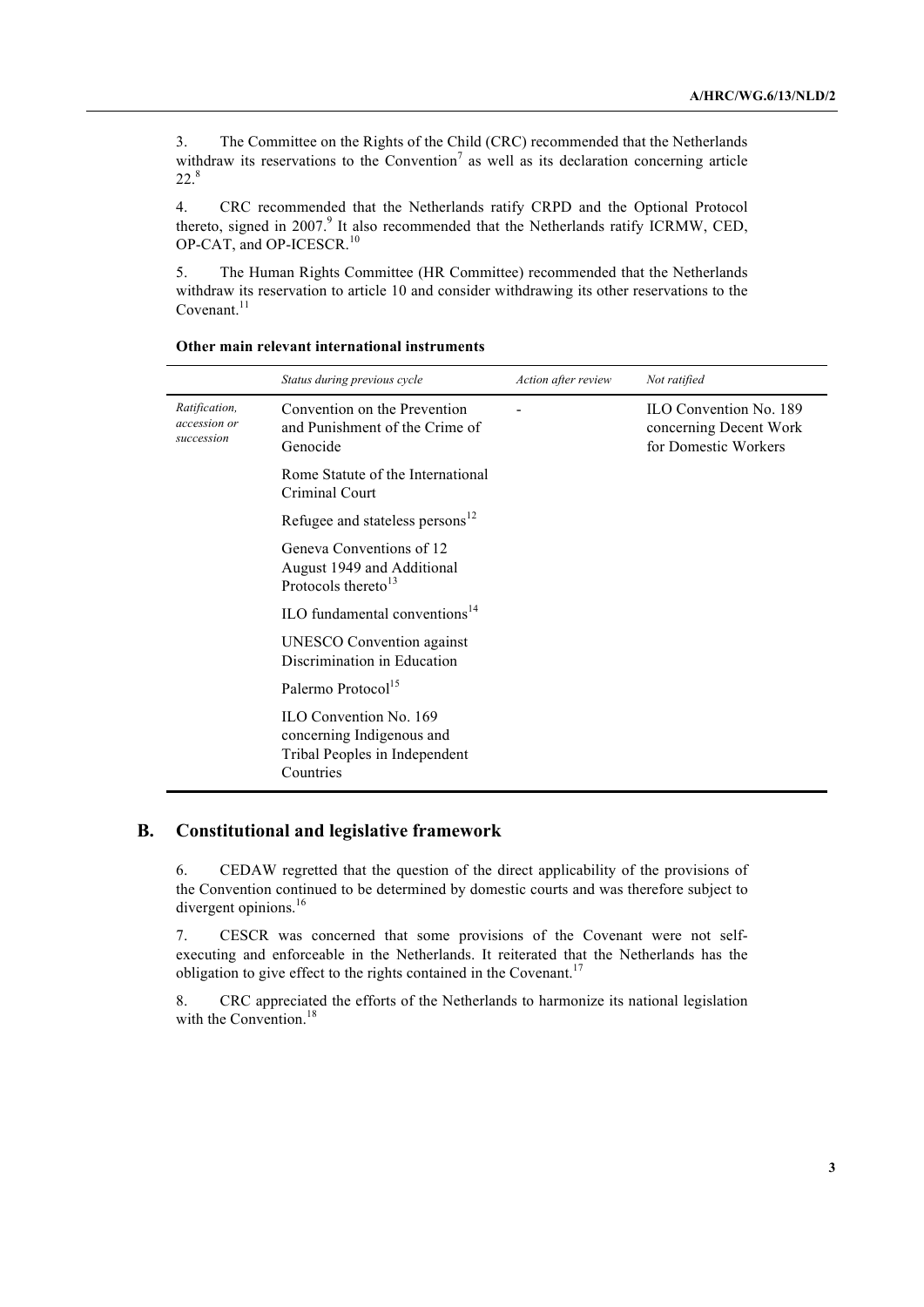3. The Committee on the Rights of the Child (CRC) recommended that the Netherlands withdraw its reservations to the Convention<sup>7</sup> as well as its declaration concerning article 22.8

4. CRC recommended that the Netherlands ratify CRPD and the Optional Protocol thereto, signed in 2007.<sup>9</sup> It also recommended that the Netherlands ratify ICRMW, CED, OP-CAT, and OP-ICESCR.<sup>10</sup>

5. The Human Rights Committee (HR Committee) recommended that the Netherlands withdraw its reservation to article 10 and consider withdrawing its other reservations to the Covenant. $^{11}$ 

|                                             | Status during previous cycle                                                                      | Action after review | Not ratified                                                             |
|---------------------------------------------|---------------------------------------------------------------------------------------------------|---------------------|--------------------------------------------------------------------------|
| Ratification,<br>accession or<br>succession | Convention on the Prevention<br>and Punishment of the Crime of<br>Genocide                        |                     | ILO Convention No. 189<br>concerning Decent Work<br>for Domestic Workers |
|                                             | Rome Statute of the International<br>Criminal Court                                               |                     |                                                                          |
|                                             | Refugee and stateless persons <sup>12</sup>                                                       |                     |                                                                          |
|                                             | Geneva Conventions of 12<br>August 1949 and Additional<br>Protocols thereto <sup>13</sup>         |                     |                                                                          |
|                                             | ILO fundamental conventions $14$                                                                  |                     |                                                                          |
|                                             | <b>UNESCO</b> Convention against<br>Discrimination in Education                                   |                     |                                                                          |
|                                             | Palermo Protocol <sup>15</sup>                                                                    |                     |                                                                          |
|                                             | ILO Convention No. 169<br>concerning Indigenous and<br>Tribal Peoples in Independent<br>Countries |                     |                                                                          |

#### **Other main relevant international instruments**

#### **B. Constitutional and legislative framework**

6. CEDAW regretted that the question of the direct applicability of the provisions of the Convention continued to be determined by domestic courts and was therefore subject to divergent opinions.<sup>16</sup>

7. CESCR was concerned that some provisions of the Covenant were not selfexecuting and enforceable in the Netherlands. It reiterated that the Netherlands has the obligation to give effect to the rights contained in the Covenant.<sup>17</sup>

8. CRC appreciated the efforts of the Netherlands to harmonize its national legislation with the Convention.<sup>18</sup>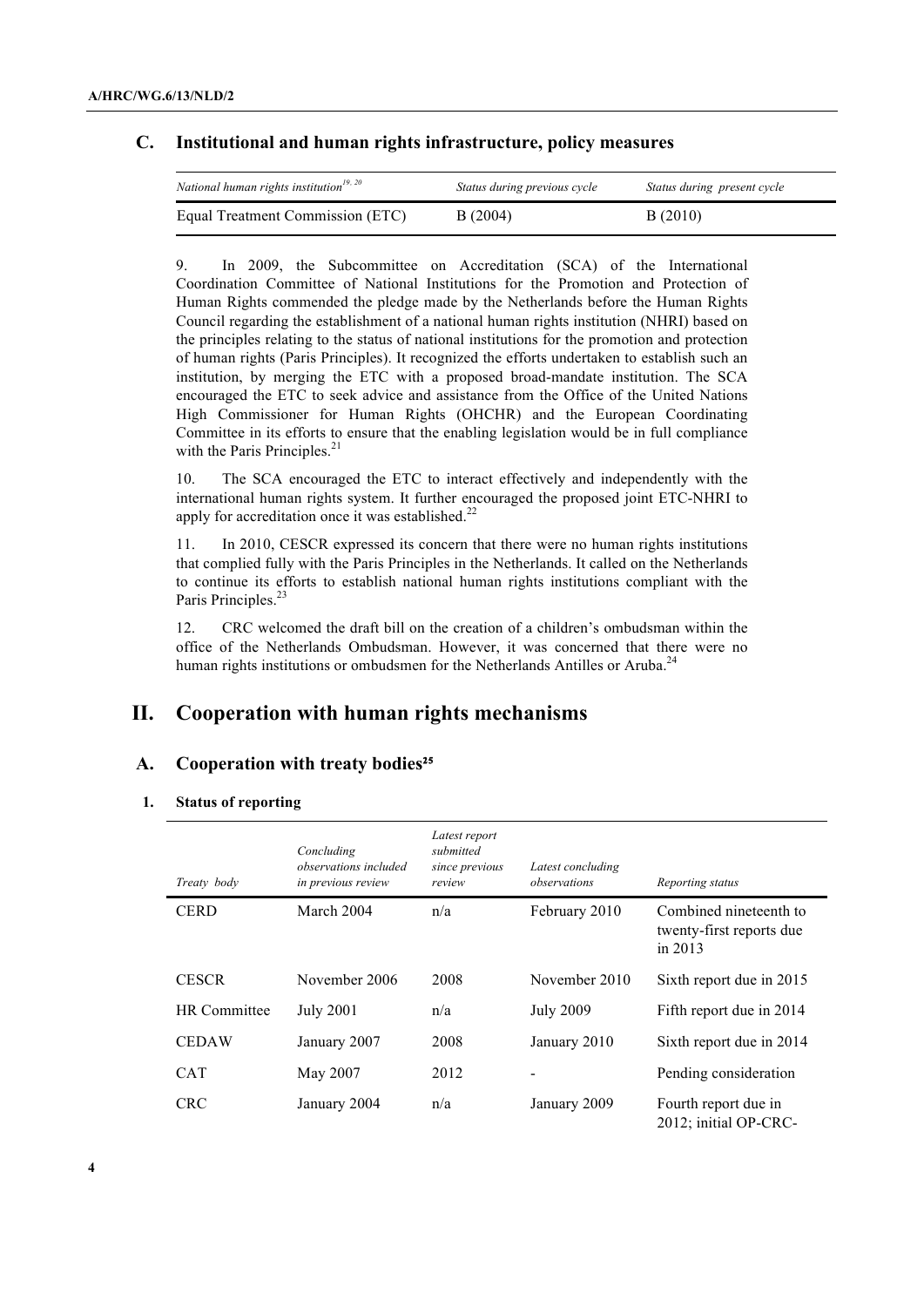### **C. Institutional and human rights infrastructure, policy measures**

| National human rights institution <sup>19, 20</sup> | Status during previous cycle | Status during present cycle |
|-----------------------------------------------------|------------------------------|-----------------------------|
| Equal Treatment Commission (ETC)                    | B(2004)                      | B(2010)                     |

9. In 2009, the Subcommittee on Accreditation (SCA) of the International Coordination Committee of National Institutions for the Promotion and Protection of Human Rights commended the pledge made by the Netherlands before the Human Rights Council regarding the establishment of a national human rights institution (NHRI) based on the principles relating to the status of national institutions for the promotion and protection of human rights (Paris Principles). It recognized the efforts undertaken to establish such an institution, by merging the ETC with a proposed broad-mandate institution. The SCA encouraged the ETC to seek advice and assistance from the Office of the United Nations High Commissioner for Human Rights (OHCHR) and the European Coordinating Committee in its efforts to ensure that the enabling legislation would be in full compliance with the Paris Principles.<sup>21</sup>

10. The SCA encouraged the ETC to interact effectively and independently with the international human rights system. It further encouraged the proposed joint ETC-NHRI to apply for accreditation once it was established. $^{22}$ 

11. In 2010, CESCR expressed its concern that there were no human rights institutions that complied fully with the Paris Principles in the Netherlands. It called on the Netherlands to continue its efforts to establish national human rights institutions compliant with the Paris Principles.<sup>23</sup>

12. CRC welcomed the draft bill on the creation of a children's ombudsman within the office of the Netherlands Ombudsman. However, it was concerned that there were no human rights institutions or ombudsmen for the Netherlands Antilles or Aruba.<sup>24</sup>

## **II. Cooperation with human rights mechanisms**

#### A. Cooperation with treaty bodies<sup>25</sup>

#### **1. Status of reporting**

| Treaty body         | Concluding<br>observations included<br>in previous review | Latest report<br>submitted<br>since previous<br>review | Latest concluding<br>observations | Reporting status                                                |
|---------------------|-----------------------------------------------------------|--------------------------------------------------------|-----------------------------------|-----------------------------------------------------------------|
| <b>CERD</b>         | March 2004                                                | n/a                                                    | February 2010                     | Combined nineteenth to<br>twenty-first reports due<br>in $2013$ |
| <b>CESCR</b>        | November 2006                                             | 2008                                                   | November 2010                     | Sixth report due in 2015                                        |
| <b>HR</b> Committee | <b>July 2001</b>                                          | n/a                                                    | <b>July 2009</b>                  | Fifth report due in 2014                                        |
| <b>CEDAW</b>        | January 2007                                              | 2008                                                   | January 2010                      | Sixth report due in 2014                                        |
| <b>CAT</b>          | May 2007                                                  | 2012                                                   |                                   | Pending consideration                                           |
| <b>CRC</b>          | January 2004                                              | n/a                                                    | January 2009                      | Fourth report due in<br>2012; initial OP-CRC-                   |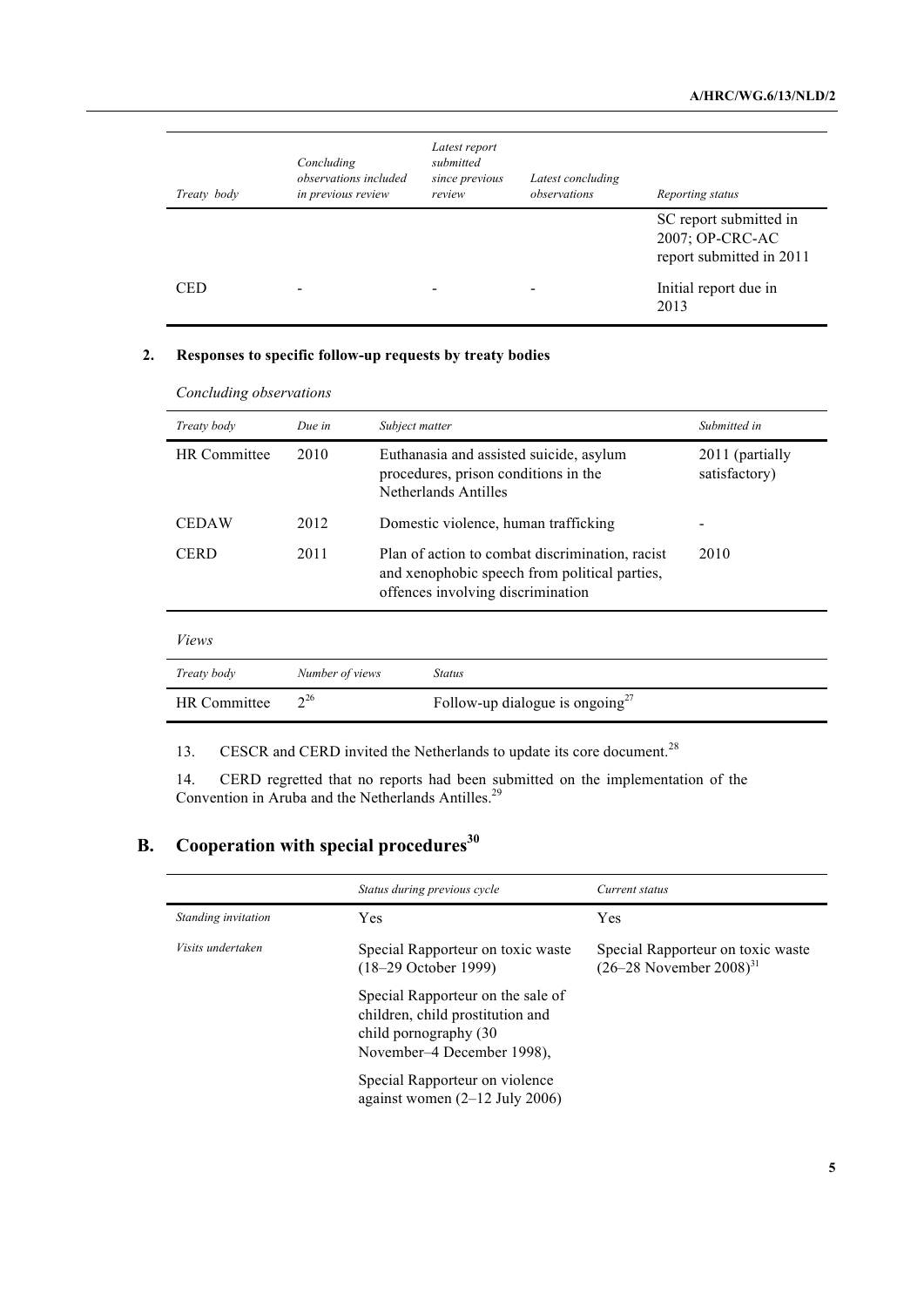| Treaty body | Concluding<br>observations included<br>in previous review | Latest report<br>submitted<br>since previous<br>review | Latest concluding<br>observations | Reporting status                                                      |
|-------------|-----------------------------------------------------------|--------------------------------------------------------|-----------------------------------|-----------------------------------------------------------------------|
|             |                                                           |                                                        |                                   | SC report submitted in<br>2007; OP-CRC-AC<br>report submitted in 2011 |
| <b>CED</b>  |                                                           |                                                        |                                   | Initial report due in<br>2013                                         |

#### **2. Responses to specific follow-up requests by treaty bodies**

| $\cdot$             |                 |                                                                                                                                       |                                  |
|---------------------|-----------------|---------------------------------------------------------------------------------------------------------------------------------------|----------------------------------|
| Treaty body         | Due in          | Subject matter                                                                                                                        | Submitted in                     |
| <b>HR</b> Committee | 2010            | Euthanasia and assisted suicide, asylum<br>procedures, prison conditions in the<br>Netherlands Antilles                               | 2011 (partially<br>satisfactory) |
| <b>CEDAW</b>        | 2012            | Domestic violence, human trafficking                                                                                                  |                                  |
| <b>CERD</b>         | 2011            | Plan of action to combat discrimination, racist<br>and xenophobic speech from political parties,<br>offences involving discrimination | 2010                             |
| <i>Views</i>        |                 |                                                                                                                                       |                                  |
| Treaty body         | Number of views | <b>Status</b>                                                                                                                         |                                  |

*Concluding observations*

13. CESCR and CERD invited the Netherlands to update its core document.<sup>28</sup>

HR Committee  $2^{26}$  Follow-up dialogue is ongoing<sup>27</sup>

14. CERD regretted that no reports had been submitted on the implementation of the Convention in Aruba and the Netherlands Antilles.<sup>29</sup>

# **B.** Cooperation with special procedures<sup>30</sup>

|                          | Status during previous cycle                                                                                                  | Current status                                                               |
|--------------------------|-------------------------------------------------------------------------------------------------------------------------------|------------------------------------------------------------------------------|
| Standing invitation      | <b>Yes</b>                                                                                                                    | Yes                                                                          |
| <i>Visits undertaken</i> | Special Rapporteur on toxic waste<br>$(18-29$ October 1999)                                                                   | Special Rapporteur on toxic waste<br>$(26-28)$ November $2008$ <sup>31</sup> |
|                          | Special Rapporteur on the sale of<br>children, child prostitution and<br>child pornography (30)<br>November–4 December 1998), |                                                                              |
|                          | Special Rapporteur on violence<br>against women $(2-12 \text{ July } 2006)$                                                   |                                                                              |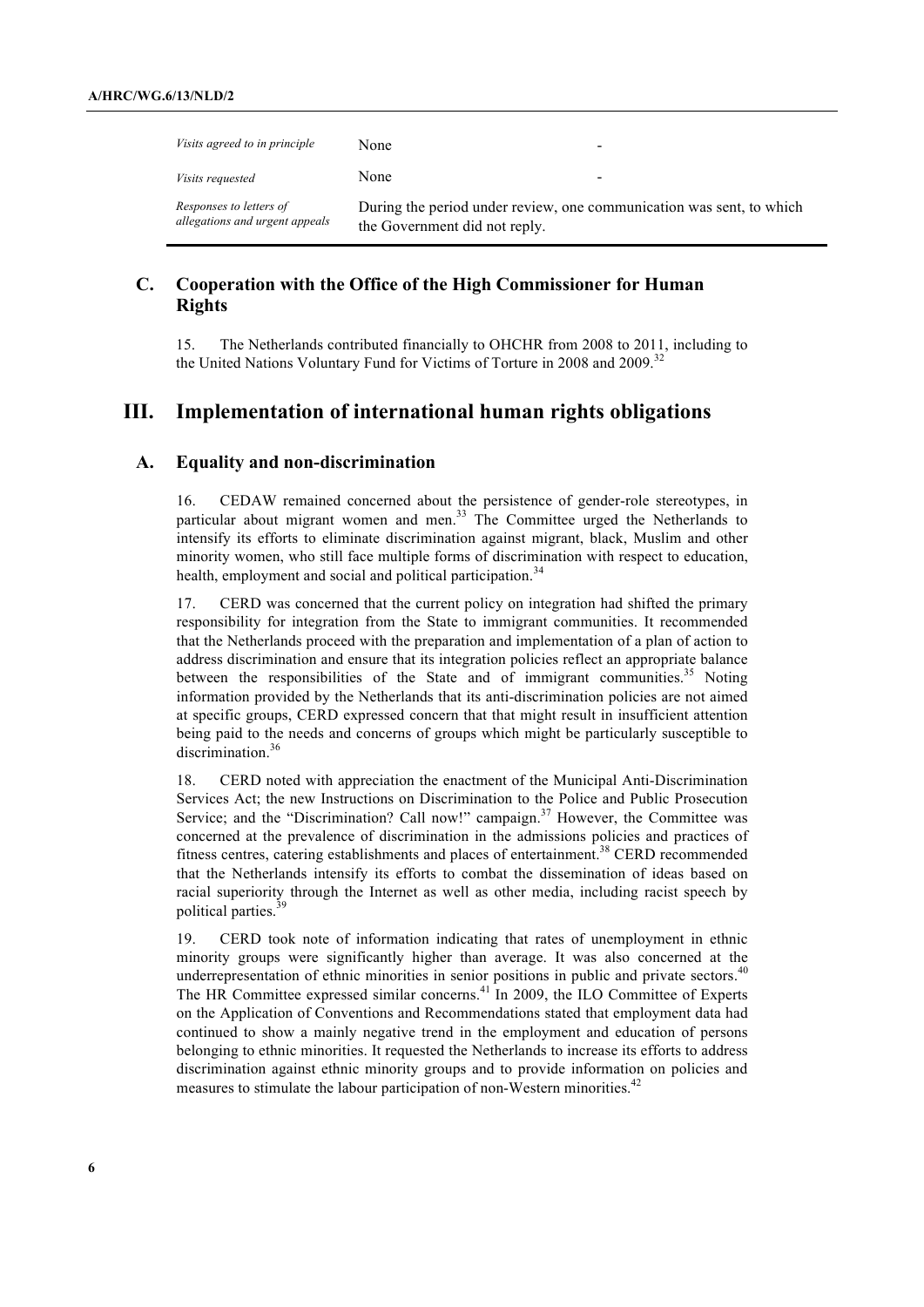| <i>Visits agreed to in principle</i>                      | None                                                                                                  |
|-----------------------------------------------------------|-------------------------------------------------------------------------------------------------------|
| <i>Visits requested</i>                                   | None                                                                                                  |
| Responses to letters of<br>allegations and urgent appeals | During the period under review, one communication was sent, to which<br>the Government did not reply. |

### **C. Cooperation with the Office of the High Commissioner for Human Rights**

15. The Netherlands contributed financially to OHCHR from 2008 to 2011, including to the United Nations Voluntary Fund for Victims of Torture in 2008 and 2009.<sup>32</sup>

## **III. Implementation of international human rights obligations**

#### **A. Equality and non-discrimination**

16. CEDAW remained concerned about the persistence of gender-role stereotypes, in particular about migrant women and men. $33$  The Committee urged the Netherlands to intensify its efforts to eliminate discrimination against migrant, black, Muslim and other minority women, who still face multiple forms of discrimination with respect to education, health, employment and social and political participation.<sup>34</sup>

17. CERD was concerned that the current policy on integration had shifted the primary responsibility for integration from the State to immigrant communities. It recommended that the Netherlands proceed with the preparation and implementation of a plan of action to address discrimination and ensure that its integration policies reflect an appropriate balance between the responsibilities of the State and of immigrant communities.<sup>35</sup> Noting information provided by the Netherlands that its anti-discrimination policies are not aimed at specific groups, CERD expressed concern that that might result in insufficient attention being paid to the needs and concerns of groups which might be particularly susceptible to discrimination.<sup>36</sup>

18. CERD noted with appreciation the enactment of the Municipal Anti-Discrimination Services Act; the new Instructions on Discrimination to the Police and Public Prosecution Service; and the "Discrimination? Call now!" campaign. $37$  However, the Committee was concerned at the prevalence of discrimination in the admissions policies and practices of fitness centres, catering establishments and places of entertainment.<sup>38</sup> CERD recommended that the Netherlands intensify its efforts to combat the dissemination of ideas based on racial superiority through the Internet as well as other media, including racist speech by political parties.<sup>39</sup>

19. CERD took note of information indicating that rates of unemployment in ethnic minority groups were significantly higher than average. It was also concerned at the underrepresentation of ethnic minorities in senior positions in public and private sectors.<sup>40</sup> The HR Committee expressed similar concerns.<sup>41</sup> In 2009, the ILO Committee of Experts on the Application of Conventions and Recommendations stated that employment data had continued to show a mainly negative trend in the employment and education of persons belonging to ethnic minorities. It requested the Netherlands to increase its efforts to address discrimination against ethnic minority groups and to provide information on policies and measures to stimulate the labour participation of non-Western minorities.<sup>42</sup>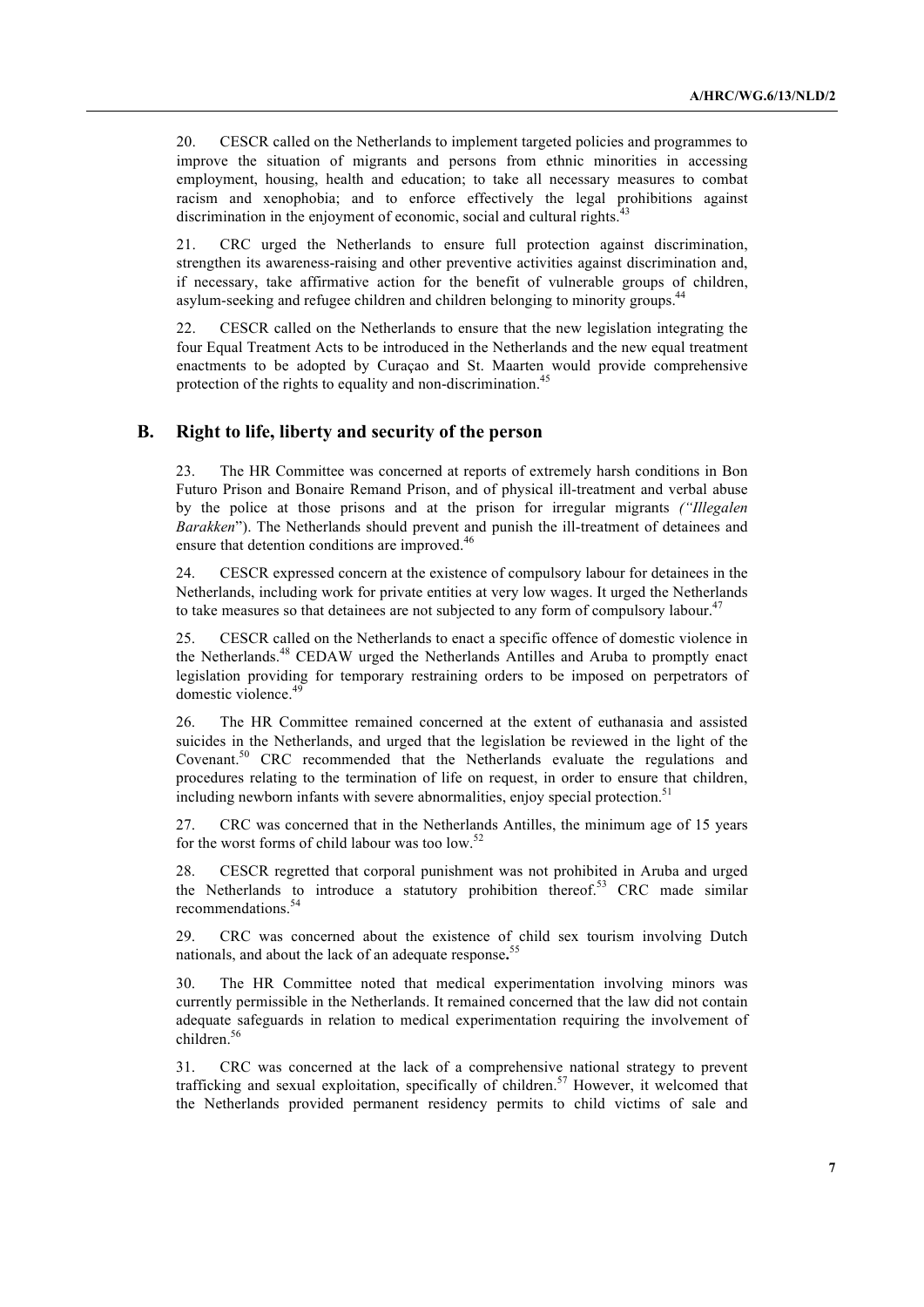20. CESCR called on the Netherlands to implement targeted policies and programmes to improve the situation of migrants and persons from ethnic minorities in accessing employment, housing, health and education; to take all necessary measures to combat racism and xenophobia; and to enforce effectively the legal prohibitions against discrimination in the enjoyment of economic, social and cultural rights.<sup>43</sup>

21. CRC urged the Netherlands to ensure full protection against discrimination, strengthen its awareness-raising and other preventive activities against discrimination and, if necessary, take affirmative action for the benefit of vulnerable groups of children, asylum-seeking and refugee children and children belonging to minority groups.<sup>4</sup>

22. CESCR called on the Netherlands to ensure that the new legislation integrating the four Equal Treatment Acts to be introduced in the Netherlands and the new equal treatment enactments to be adopted by Curaçao and St. Maarten would provide comprehensive protection of the rights to equality and non-discrimination.<sup>4</sup>

#### **B. Right to life, liberty and security of the person**

23. The HR Committee was concerned at reports of extremely harsh conditions in Bon Futuro Prison and Bonaire Remand Prison, and of physical ill-treatment and verbal abuse by the police at those prisons and at the prison for irregular migrants *("Illegalen Barakken*"). The Netherlands should prevent and punish the ill-treatment of detainees and ensure that detention conditions are improved.<sup>46</sup>

24. CESCR expressed concern at the existence of compulsory labour for detainees in the Netherlands, including work for private entities at very low wages. It urged the Netherlands to take measures so that detainees are not subjected to any form of compulsory labour.<sup>47</sup>

25. CESCR called on the Netherlands to enact a specific offence of domestic violence in the Netherlands.<sup>48</sup> CEDAW urged the Netherlands Antilles and Aruba to promptly enact legislation providing for temporary restraining orders to be imposed on perpetrators of domestic violence.<sup>49</sup>

26. The HR Committee remained concerned at the extent of euthanasia and assisted suicides in the Netherlands, and urged that the legislation be reviewed in the light of the Covenant.<sup>50</sup> CRC recommended that the Netherlands evaluate the regulations and procedures relating to the termination of life on request, in order to ensure that children, including newborn infants with severe abnormalities, enjoy special protection.<sup>51</sup>

27. CRC was concerned that in the Netherlands Antilles, the minimum age of 15 years for the worst forms of child labour was too low.<sup>52</sup>

28. CESCR regretted that corporal punishment was not prohibited in Aruba and urged the Netherlands to introduce a statutory prohibition thereof.<sup>53</sup> CRC made similar recommendations.<sup>54</sup>

29. CRC was concerned about the existence of child sex tourism involving Dutch nationals, and about the lack of an adequate response**.** 55

30. The HR Committee noted that medical experimentation involving minors was currently permissible in the Netherlands. It remained concerned that the law did not contain adequate safeguards in relation to medical experimentation requiring the involvement of children.<sup>56</sup>

31. CRC was concerned at the lack of a comprehensive national strategy to prevent trafficking and sexual exploitation, specifically of children.<sup>57</sup> However, it welcomed that the Netherlands provided permanent residency permits to child victims of sale and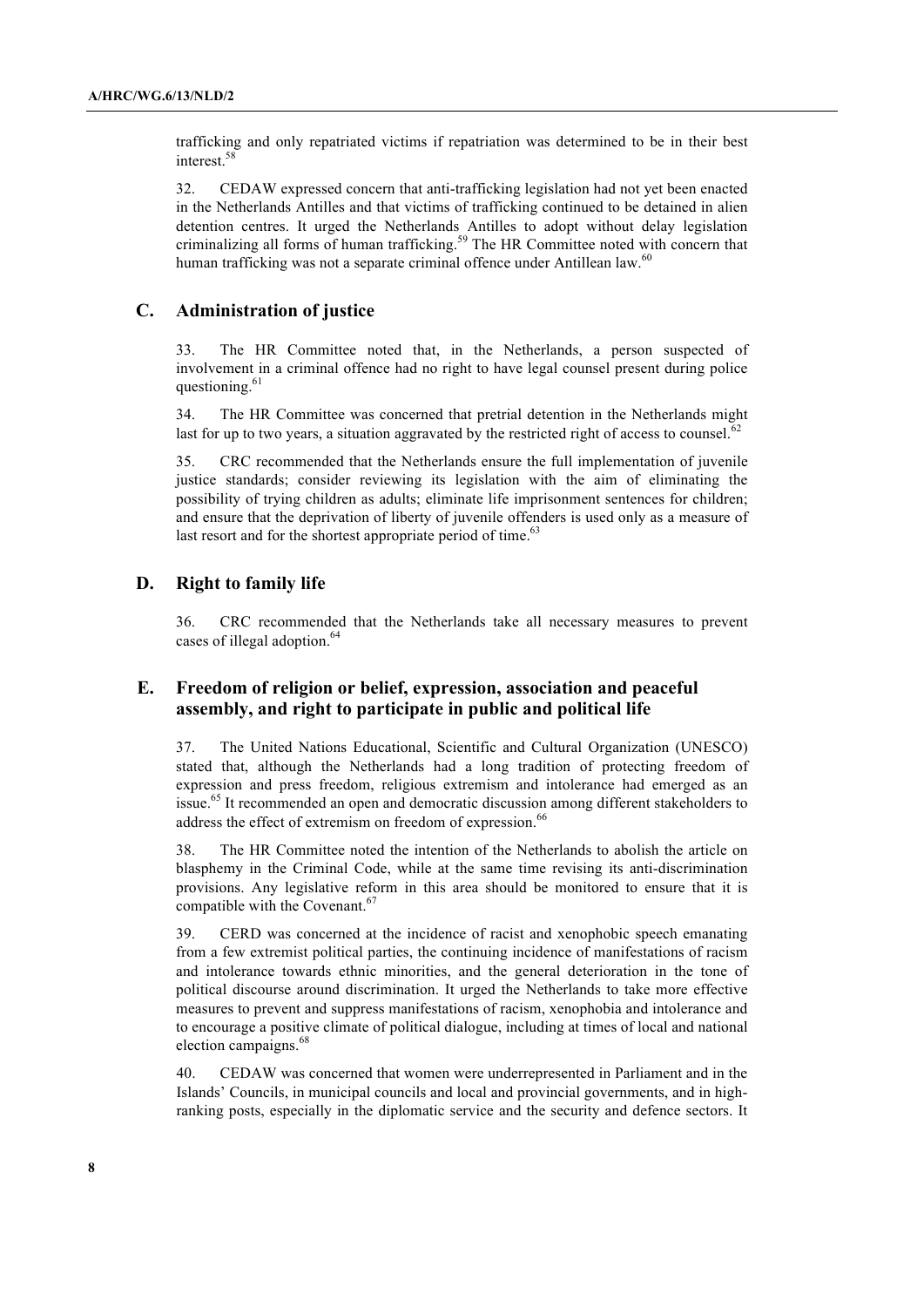trafficking and only repatriated victims if repatriation was determined to be in their best interest.58

32. CEDAW expressed concern that anti-trafficking legislation had not yet been enacted in the Netherlands Antilles and that victims of trafficking continued to be detained in alien detention centres. It urged the Netherlands Antilles to adopt without delay legislation criminalizing all forms of human trafficking.<sup>59</sup> The HR Committee noted with concern that human trafficking was not a separate criminal offence under Antillean law.<sup>60</sup>

#### **C. Administration of justice**

33. The HR Committee noted that, in the Netherlands, a person suspected of involvement in a criminal offence had no right to have legal counsel present during police questioning.<sup>61</sup>

34. The HR Committee was concerned that pretrial detention in the Netherlands might last for up to two years, a situation aggravated by the restricted right of access to counsel.<sup>62</sup>

35. CRC recommended that the Netherlands ensure the full implementation of juvenile justice standards; consider reviewing its legislation with the aim of eliminating the possibility of trying children as adults; eliminate life imprisonment sentences for children; and ensure that the deprivation of liberty of juvenile offenders is used only as a measure of last resort and for the shortest appropriate period of time. $63$ 

#### **D. Right to family life**

36. CRC recommended that the Netherlands take all necessary measures to prevent cases of illegal adoption.<sup>64</sup>

### **E. Freedom of religion or belief, expression, association and peaceful assembly, and right to participate in public and political life**

37. The United Nations Educational, Scientific and Cultural Organization (UNESCO) stated that, although the Netherlands had a long tradition of protecting freedom of expression and press freedom, religious extremism and intolerance had emerged as an issue.<sup>65</sup> It recommended an open and democratic discussion among different stakeholders to address the effect of extremism on freedom of expression.<sup>66</sup>

38. The HR Committee noted the intention of the Netherlands to abolish the article on blasphemy in the Criminal Code, while at the same time revising its anti-discrimination provisions. Any legislative reform in this area should be monitored to ensure that it is compatible with the Covenant.<sup>67</sup>

39. CERD was concerned at the incidence of racist and xenophobic speech emanating from a few extremist political parties, the continuing incidence of manifestations of racism and intolerance towards ethnic minorities, and the general deterioration in the tone of political discourse around discrimination. It urged the Netherlands to take more effective measures to prevent and suppress manifestations of racism, xenophobia and intolerance and to encourage a positive climate of political dialogue, including at times of local and national election campaigns.<sup>68</sup>

40. CEDAW was concerned that women were underrepresented in Parliament and in the Islands' Councils, in municipal councils and local and provincial governments, and in highranking posts, especially in the diplomatic service and the security and defence sectors. It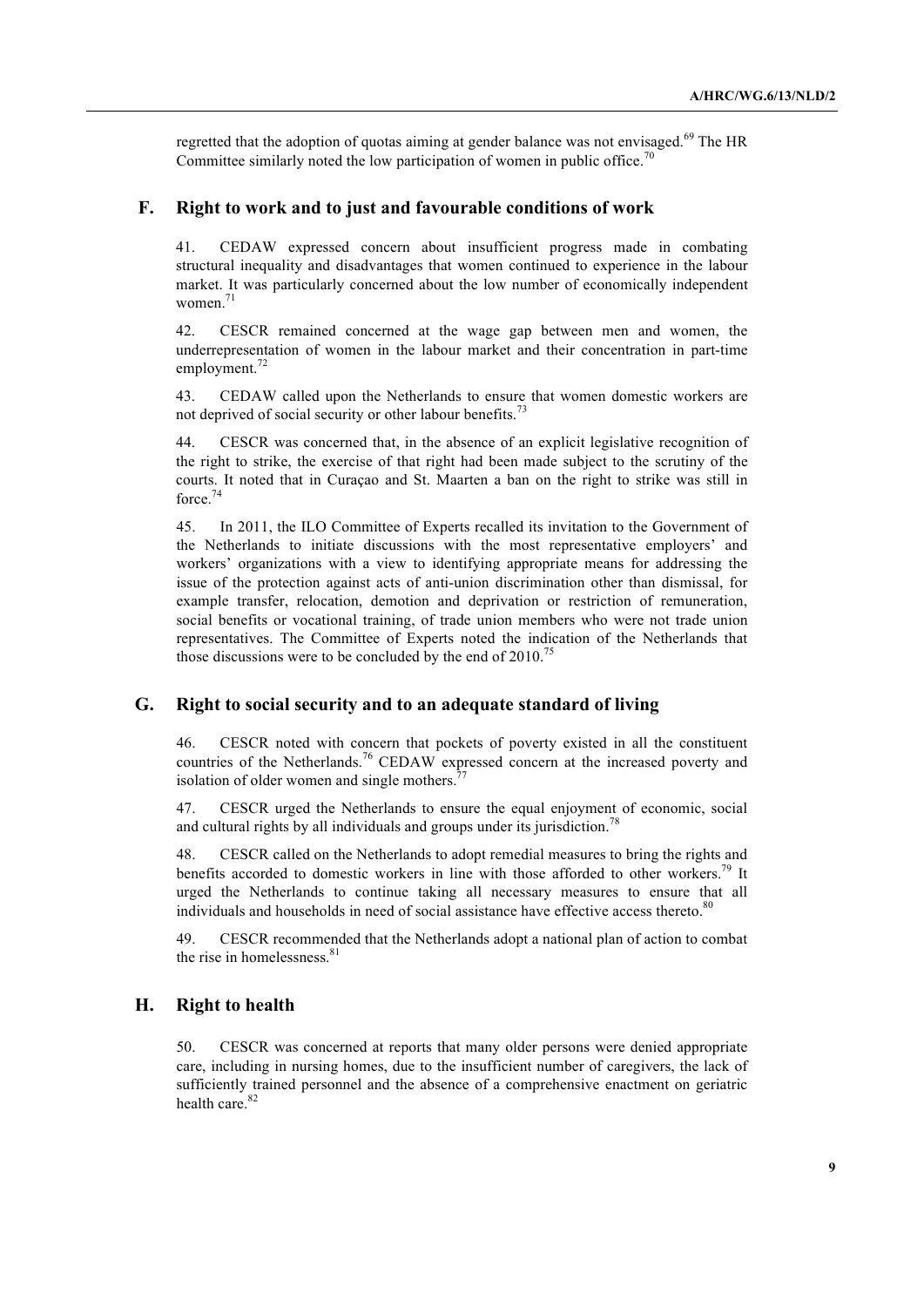regretted that the adoption of quotas aiming at gender balance was not envisaged.<sup>69</sup> The HR Committee similarly noted the low participation of women in public office.<sup>70</sup>

#### **F. Right to work and to just and favourable conditions of work**

41. CEDAW expressed concern about insufficient progress made in combating structural inequality and disadvantages that women continued to experience in the labour market. It was particularly concerned about the low number of economically independent women.<sup>71</sup>

42. CESCR remained concerned at the wage gap between men and women, the underrepresentation of women in the labour market and their concentration in part-time employment.<sup>72</sup>

43. CEDAW called upon the Netherlands to ensure that women domestic workers are not deprived of social security or other labour benefits.<sup>73</sup>

44. CESCR was concerned that, in the absence of an explicit legislative recognition of the right to strike, the exercise of that right had been made subject to the scrutiny of the courts. It noted that in Curaçao and St. Maarten a ban on the right to strike was still in force.74

45. In 2011, the ILO Committee of Experts recalled its invitation to the Government of the Netherlands to initiate discussions with the most representative employers' and workers' organizations with a view to identifying appropriate means for addressing the issue of the protection against acts of anti-union discrimination other than dismissal, for example transfer, relocation, demotion and deprivation or restriction of remuneration, social benefits or vocational training, of trade union members who were not trade union representatives. The Committee of Experts noted the indication of the Netherlands that those discussions were to be concluded by the end of  $2010$ .<sup>75</sup>

#### **G. Right to social security and to an adequate standard of living**

46. CESCR noted with concern that pockets of poverty existed in all the constituent countries of the Netherlands.<sup>76</sup> CEDAW expressed concern at the increased poverty and isolation of older women and single mothers.<sup>77</sup>

47. CESCR urged the Netherlands to ensure the equal enjoyment of economic, social and cultural rights by all individuals and groups under its jurisdiction.<sup>78</sup>

48. CESCR called on the Netherlands to adopt remedial measures to bring the rights and benefits accorded to domestic workers in line with those afforded to other workers.<sup>79</sup> It urged the Netherlands to continue taking all necessary measures to ensure that all individuals and households in need of social assistance have effective access thereto. $80$ 

49. CESCR recommended that the Netherlands adopt a national plan of action to combat the rise in homelessness.<sup>81</sup>

#### **H. Right to health**

50. CESCR was concerned at reports that many older persons were denied appropriate care, including in nursing homes, due to the insufficient number of caregivers, the lack of sufficiently trained personnel and the absence of a comprehensive enactment on geriatric health care  $82$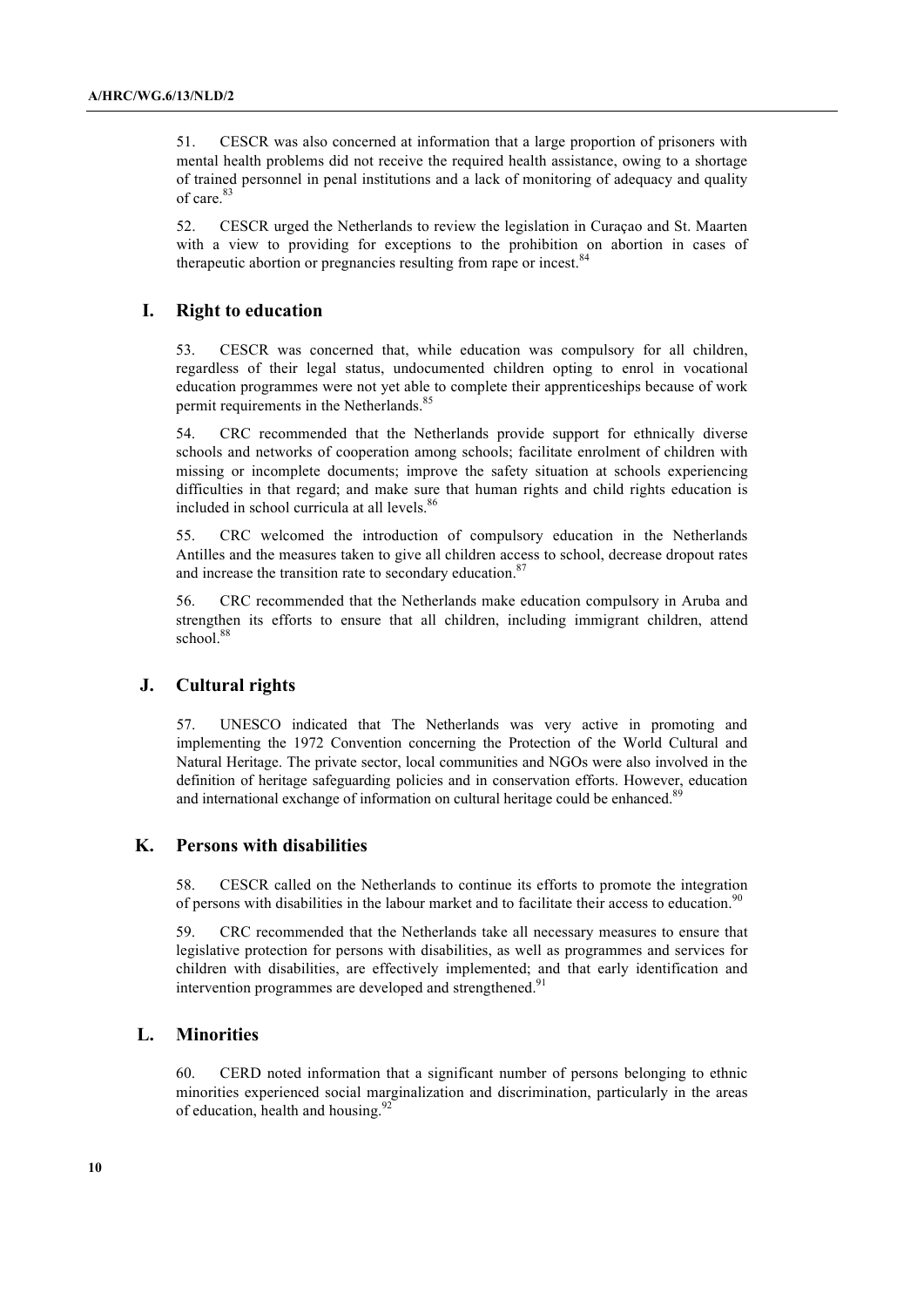51. CESCR was also concerned at information that a large proportion of prisoners with mental health problems did not receive the required health assistance, owing to a shortage of trained personnel in penal institutions and a lack of monitoring of adequacy and quality of care.<sup>83</sup>

52. CESCR urged the Netherlands to review the legislation in Curaçao and St. Maarten with a view to providing for exceptions to the prohibition on abortion in cases of therapeutic abortion or pregnancies resulting from rape or incest.<sup>84</sup>

#### **I. Right to education**

53. CESCR was concerned that, while education was compulsory for all children, regardless of their legal status, undocumented children opting to enrol in vocational education programmes were not yet able to complete their apprenticeships because of work permit requirements in the Netherlands.<sup>85</sup>

54. CRC recommended that the Netherlands provide support for ethnically diverse schools and networks of cooperation among schools; facilitate enrolment of children with missing or incomplete documents; improve the safety situation at schools experiencing difficulties in that regard; and make sure that human rights and child rights education is included in school curricula at all levels.<sup>86</sup>

55. CRC welcomed the introduction of compulsory education in the Netherlands Antilles and the measures taken to give all children access to school, decrease dropout rates and increase the transition rate to secondary education.<sup>87</sup>

56. CRC recommended that the Netherlands make education compulsory in Aruba and strengthen its efforts to ensure that all children, including immigrant children, attend school.<sup>88</sup>

#### **J. Cultural rights**

57. UNESCO indicated that The Netherlands was very active in promoting and implementing the 1972 Convention concerning the Protection of the World Cultural and Natural Heritage. The private sector, local communities and NGOs were also involved in the definition of heritage safeguarding policies and in conservation efforts. However, education and international exchange of information on cultural heritage could be enhanced.<sup>89</sup>

#### **K. Persons with disabilities**

58. CESCR called on the Netherlands to continue its efforts to promote the integration of persons with disabilities in the labour market and to facilitate their access to education.<sup>90</sup>

59. CRC recommended that the Netherlands take all necessary measures to ensure that legislative protection for persons with disabilities, as well as programmes and services for children with disabilities, are effectively implemented; and that early identification and intervention programmes are developed and strengthened.<sup>91</sup>

#### **L. Minorities**

60. CERD noted information that a significant number of persons belonging to ethnic minorities experienced social marginalization and discrimination, particularly in the areas of education, health and housing. $^{92}$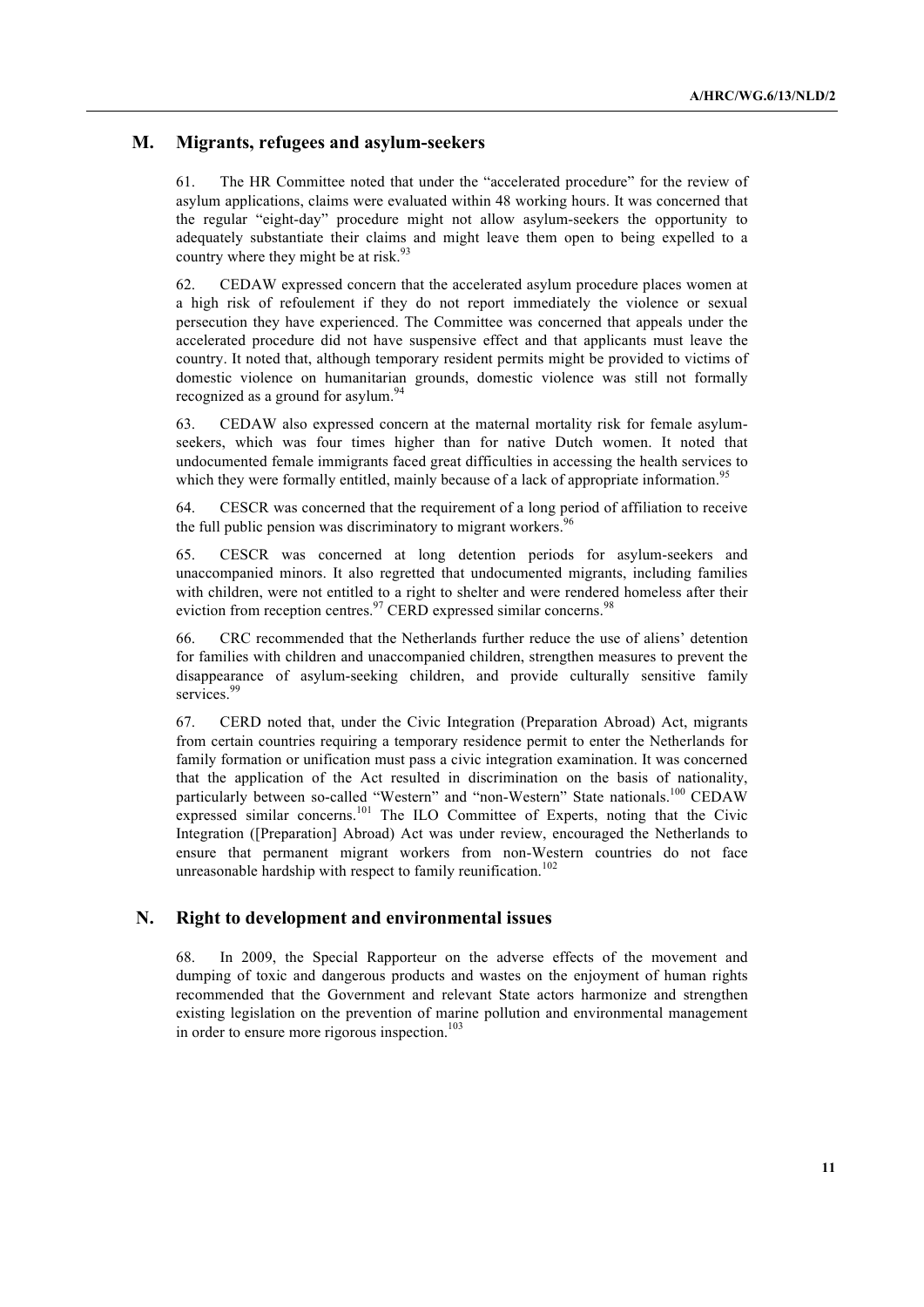#### **M. Migrants, refugees and asylum-seekers**

61. The HR Committee noted that under the "accelerated procedure" for the review of asylum applications, claims were evaluated within 48 working hours. It was concerned that the regular "eight-day" procedure might not allow asylum-seekers the opportunity to adequately substantiate their claims and might leave them open to being expelled to a country where they might be at risk.<sup>93</sup>

62. CEDAW expressed concern that the accelerated asylum procedure places women at a high risk of refoulement if they do not report immediately the violence or sexual persecution they have experienced. The Committee was concerned that appeals under the accelerated procedure did not have suspensive effect and that applicants must leave the country. It noted that, although temporary resident permits might be provided to victims of domestic violence on humanitarian grounds, domestic violence was still not formally recognized as a ground for asylum.<sup>94</sup>

63. CEDAW also expressed concern at the maternal mortality risk for female asylumseekers, which was four times higher than for native Dutch women. It noted that undocumented female immigrants faced great difficulties in accessing the health services to which they were formally entitled, mainly because of a lack of appropriate information.<sup>5</sup>

64. CESCR was concerned that the requirement of a long period of affiliation to receive the full public pension was discriminatory to migrant workers.<sup>96</sup>

65. CESCR was concerned at long detention periods for asylum-seekers and unaccompanied minors. It also regretted that undocumented migrants, including families with children, were not entitled to a right to shelter and were rendered homeless after their eviction from reception centres.<sup>97</sup> CERD expressed similar concerns.<sup>98</sup>

66. CRC recommended that the Netherlands further reduce the use of aliens' detention for families with children and unaccompanied children, strengthen measures to prevent the disappearance of asylum-seeking children, and provide culturally sensitive family services.<sup>99</sup>

67. CERD noted that, under the Civic Integration (Preparation Abroad) Act, migrants from certain countries requiring a temporary residence permit to enter the Netherlands for family formation or unification must pass a civic integration examination. It was concerned that the application of the Act resulted in discrimination on the basis of nationality, particularly between so-called "Western" and "non-Western" State nationals.100 CEDAW expressed similar concerns.<sup>101</sup> The ILO Committee of Experts, noting that the Civic Integration ([Preparation] Abroad) Act was under review, encouraged the Netherlands to ensure that permanent migrant workers from non-Western countries do not face unreasonable hardship with respect to family reunification.<sup>102</sup>

#### **N. Right to development and environmental issues**

68. In 2009, the Special Rapporteur on the adverse effects of the movement and dumping of toxic and dangerous products and wastes on the enjoyment of human rights recommended that the Government and relevant State actors harmonize and strengthen existing legislation on the prevention of marine pollution and environmental management in order to ensure more rigorous inspection.<sup>103</sup>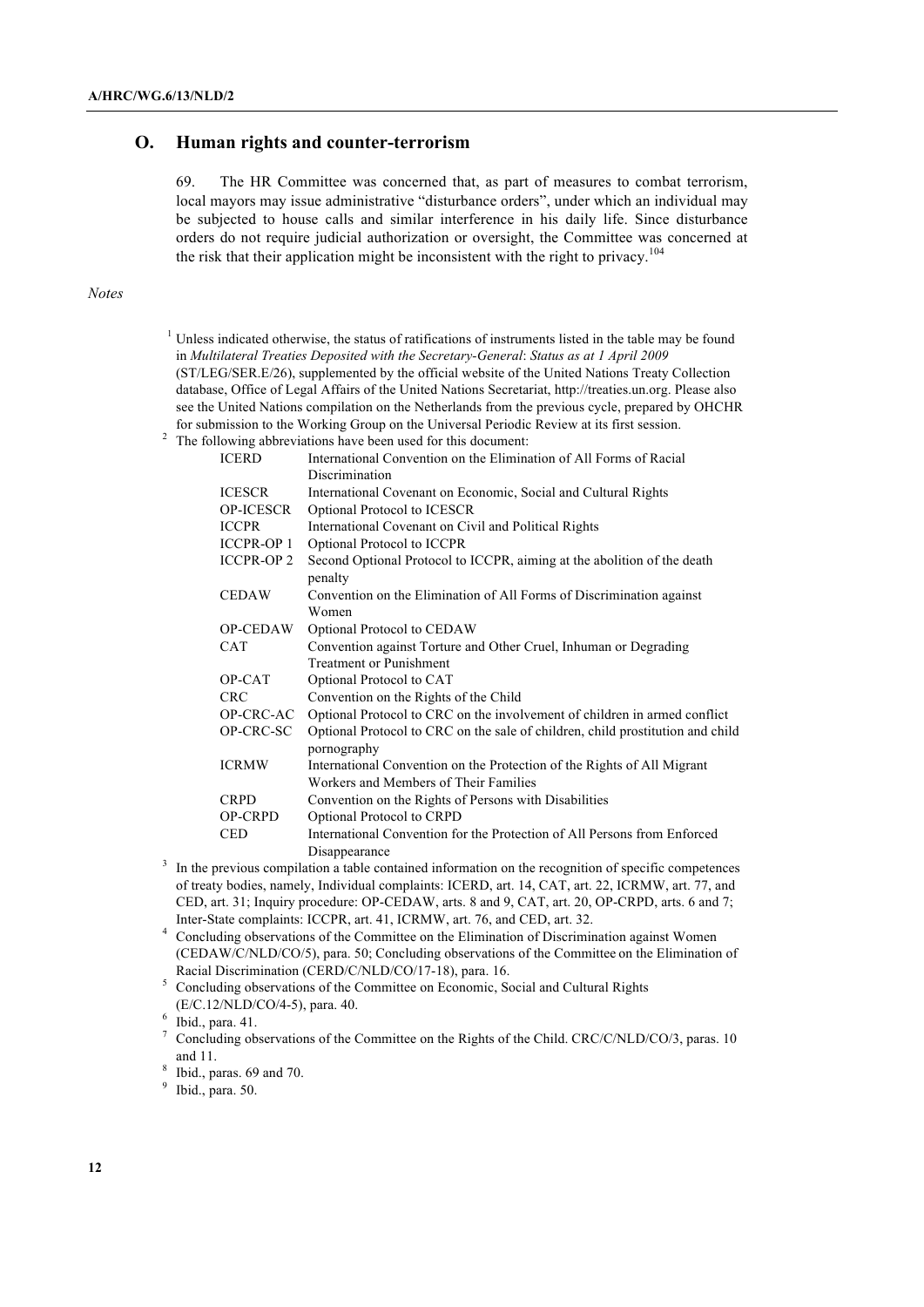#### **O. Human rights and counter-terrorism**

69. The HR Committee was concerned that, as part of measures to combat terrorism, local mayors may issue administrative "disturbance orders", under which an individual may be subjected to house calls and similar interference in his daily life. Since disturbance orders do not require judicial authorization or oversight, the Committee was concerned at the risk that their application might be inconsistent with the right to privacy.<sup>104</sup>

#### *Notes*

- <sup>1</sup> Unless indicated otherwise, the status of ratifications of instruments listed in the table may be found in *Multilateral Treaties Deposited with the Secretary-General*: *Status as at 1 April 2009* (ST/LEG/SER.E/26), supplemented by the official website of the United Nations Treaty Collection database, Office of Legal Affairs of the United Nations Secretariat, http://treaties.un.org. Please also see the United Nations compilation on the Netherlands from the previous cycle, prepared by OHCHR for submission to the Working Group on the Universal Periodic Review at its first session.
- <sup>2</sup> The following abbreviations have been used for this document:

| <b>ICERD</b>      | International Convention on the Elimination of All Forms of Racial                            |
|-------------------|-----------------------------------------------------------------------------------------------|
|                   | Discrimination                                                                                |
| <b>ICESCR</b>     | International Covenant on Economic, Social and Cultural Rights                                |
| <b>OP-ICESCR</b>  | Optional Protocol to ICESCR                                                                   |
| <b>ICCPR</b>      | International Covenant on Civil and Political Rights                                          |
| <b>ICCPR-OP 1</b> | Optional Protocol to ICCPR                                                                    |
| <b>ICCPR-OP 2</b> | Second Optional Protocol to ICCPR, aiming at the abolition of the death<br>penalty            |
| <b>CEDAW</b>      | Convention on the Elimination of All Forms of Discrimination against                          |
|                   | Women                                                                                         |
| <b>OP-CEDAW</b>   | Optional Protocol to CEDAW                                                                    |
| <b>CAT</b>        | Convention against Torture and Other Cruel, Inhuman or Degrading                              |
|                   | <b>Treatment or Punishment</b>                                                                |
| OP-CAT            | Optional Protocol to CAT                                                                      |
| <b>CRC</b>        | Convention on the Rights of the Child                                                         |
| OP-CRC-AC         | Optional Protocol to CRC on the involvement of children in armed conflict                     |
| OP-CRC-SC         | Optional Protocol to CRC on the sale of children, child prostitution and child<br>pornography |
| <b>ICRMW</b>      | International Convention on the Protection of the Rights of All Migrant                       |
|                   | Workers and Members of Their Families                                                         |
| <b>CRPD</b>       | Convention on the Rights of Persons with Disabilities                                         |
| <b>OP-CRPD</b>    | Optional Protocol to CRPD                                                                     |
| <b>CED</b>        | International Convention for the Protection of All Persons from Enforced                      |
|                   | Disappearance                                                                                 |
|                   | $\mathbf{r}$ , and $\mathbf{r}$ , and $\mathbf{r}$ , and $\mathbf{r}$ , and $\mathbf{r}$      |

- <sup>3</sup> In the previous compilation a table contained information on the recognition of specific competences of treaty bodies, namely, Individual complaints: ICERD, art. 14, CAT, art. 22, ICRMW, art. 77, and CED, art. 31; Inquiry procedure: OP-CEDAW, arts. 8 and 9, CAT, art. 20, OP-CRPD, arts. 6 and 7; Inter-State complaints: ICCPR, art. 41, ICRMW, art. 76, and CED, art. 32.
- <sup>4</sup> Concluding observations of the Committee on the Elimination of Discrimination against Women (CEDAW/C/NLD/CO/5), para. 50; Concluding observations of the Committee on the Elimination of Racial Discrimination (CERD/C/NLD/CO/17-18), para. 16.

<sup>5</sup> Concluding observations of the Committee on Economic, Social and Cultural Rights (E/C.12/NLD/CO/4-5), para. 40.

Ibid., paras. 69 and 70.

Ibid., para. 50.

 $6$  Ibid., para. 41.

<sup>7</sup> Concluding observations of the Committee on the Rights of the Child. CRC/C/NLD/CO/3, paras. 10 and 11.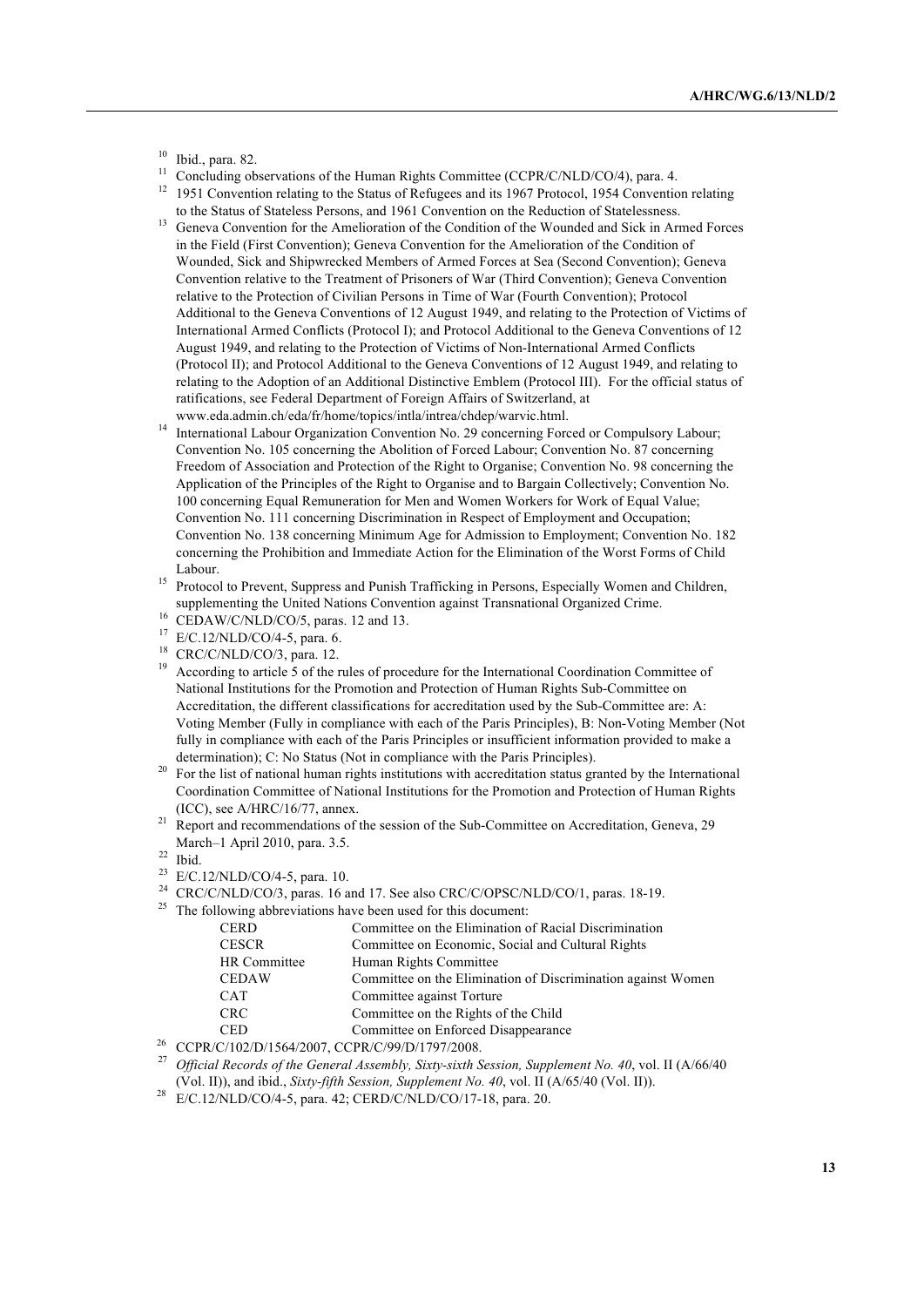$\frac{10}{11}$  Ibid., para. 82.

- Concluding observations of the Human Rights Committee (CCPR/C/NLD/CO/4), para. 4.
- <sup>12</sup> 1951 Convention relating to the Status of Refugees and its 1967 Protocol, 1954 Convention relating to the Status of Stateless Persons, and 1961 Convention on the Reduction of Statelessness.
- <sup>13</sup> Geneva Convention for the Amelioration of the Condition of the Wounded and Sick in Armed Forces in the Field (First Convention); Geneva Convention for the Amelioration of the Condition of Wounded, Sick and Shipwrecked Members of Armed Forces at Sea (Second Convention); Geneva Convention relative to the Treatment of Prisoners of War (Third Convention); Geneva Convention relative to the Protection of Civilian Persons in Time of War (Fourth Convention); Protocol Additional to the Geneva Conventions of 12 August 1949, and relating to the Protection of Victims of International Armed Conflicts (Protocol I); and Protocol Additional to the Geneva Conventions of 12 August 1949, and relating to the Protection of Victims of Non-International Armed Conflicts (Protocol II); and Protocol Additional to the Geneva Conventions of 12 August 1949, and relating to relating to the Adoption of an Additional Distinctive Emblem (Protocol III). For the official status of ratifications, see Federal Department of Foreign Affairs of Switzerland, at www.eda.admin.ch/eda/fr/home/topics/intla/intrea/chdep/warvic.html.
- <sup>14</sup> International Labour Organization Convention No. 29 concerning Forced or Compulsory Labour; Convention No. 105 concerning the Abolition of Forced Labour; Convention No. 87 concerning Freedom of Association and Protection of the Right to Organise; Convention No. 98 concerning the Application of the Principles of the Right to Organise and to Bargain Collectively; Convention No. 100 concerning Equal Remuneration for Men and Women Workers for Work of Equal Value; Convention No. 111 concerning Discrimination in Respect of Employment and Occupation; Convention No. 138 concerning Minimum Age for Admission to Employment; Convention No. 182 concerning the Prohibition and Immediate Action for the Elimination of the Worst Forms of Child Labour.
- <sup>15</sup> Protocol to Prevent, Suppress and Punish Trafficking in Persons, Especially Women and Children, supplementing the United Nations Convention against Transnational Organized Crime.
- $^{16}$  CEDAW/C/NLD/CO/5, paras. 12 and 13.
- <sup>17</sup> E/C.12/NLD/CO/4-5, para. 6.
- <sup>18</sup> CRC/C/NLD/CO/3, para. 12.
- <sup>19</sup> According to article 5 of the rules of procedure for the International Coordination Committee of National Institutions for the Promotion and Protection of Human Rights Sub-Committee on Accreditation, the different classifications for accreditation used by the Sub-Committee are: A: Voting Member (Fully in compliance with each of the Paris Principles), B: Non-Voting Member (Not fully in compliance with each of the Paris Principles or insufficient information provided to make a determination); C: No Status (Not in compliance with the Paris Principles).
- <sup>20</sup> For the list of national human rights institutions with accreditation status granted by the International Coordination Committee of National Institutions for the Promotion and Protection of Human Rights (ICC), see A/HRC/16/77, annex.
- <sup>21</sup> Report and recommendations of the session of the Sub-Committee on Accreditation, Geneva, 29 March–1 April 2010, para. 3.5.

 $22$  Ibid.

- <sup>23</sup> E/C.12/NLD/CO/4-5, para. 10.
- <sup>24</sup> CRC/C/NLD/CO/3, paras. 16 and 17. See also CRC/C/OPSC/NLD/CO/1, paras. 18-19.<br><sup>25</sup> The following abbreviations have been used for this document:
- The following abbreviations have been used for this document:

| <b>CERD</b>  | Committee on the Elimination of Racial Discrimination        |
|--------------|--------------------------------------------------------------|
| <b>CESCR</b> | Committee on Economic, Social and Cultural Rights            |
| HR Committee | Human Rights Committee                                       |
| <b>CEDAW</b> | Committee on the Elimination of Discrimination against Women |
| <b>CAT</b>   | Committee against Torture                                    |
| <b>CRC</b>   | Committee on the Rights of the Child                         |
| <b>CED</b>   | Committee on Enforced Disappearance                          |

<sup>26</sup> CCPR/C/102/D/1564/2007, CCPR/C/99/D/1797/2008.

- <sup>27</sup> *Official Records of the General Assembly, Sixty-sixth Session, Supplement No. 40*, vol. II (A/66/40 (Vol. II)), and ibid., *Sixty-fifth Session, Supplement No. 40*, vol. II (A/65/40 (Vol. II)).
- <sup>28</sup> E/C.12/NLD/CO/4-5, para. 42; CERD/C/NLD/CO/17-18, para. 20.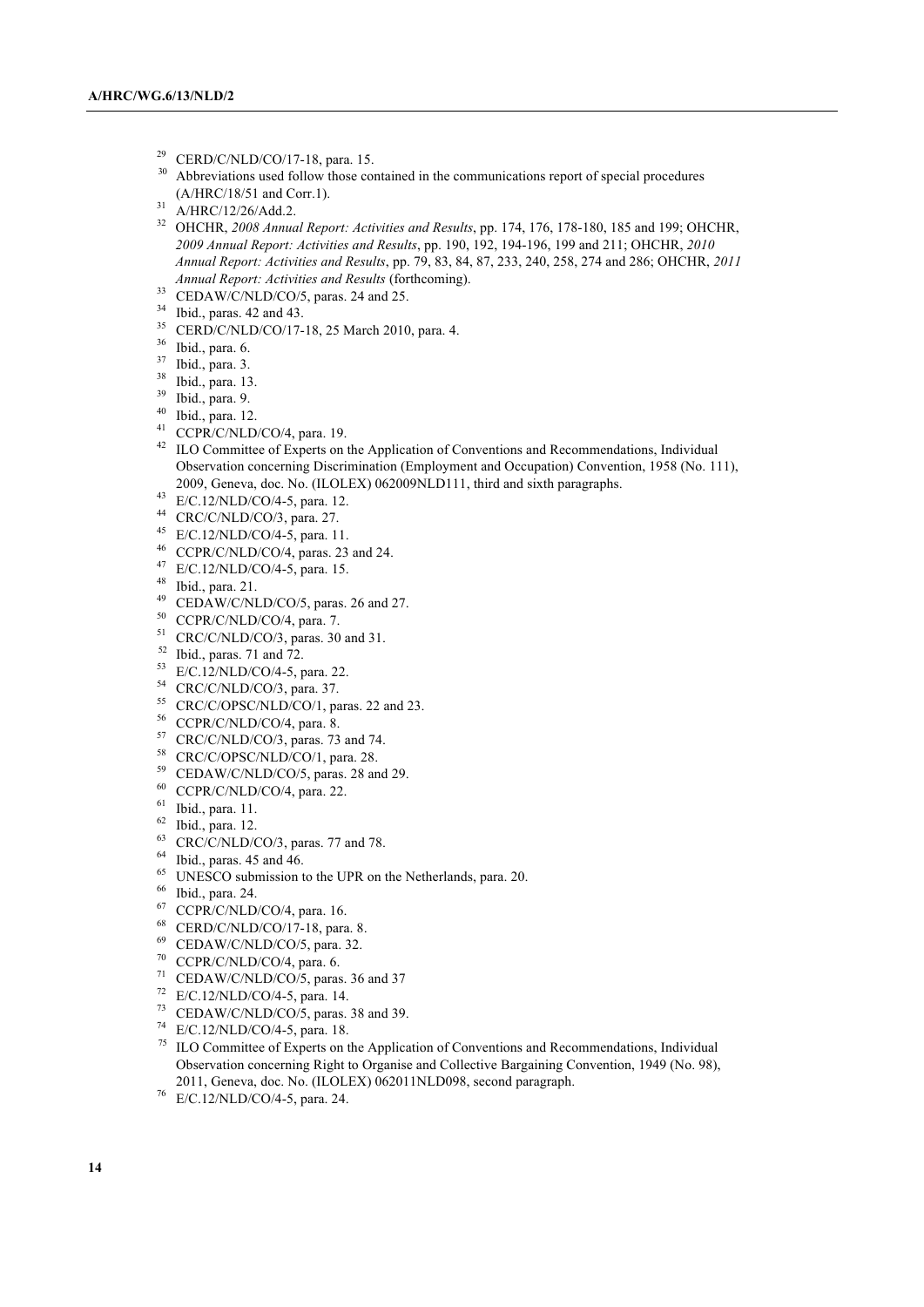- <sup>29</sup> CERD/C/NLD/CO/17-18, para. 15.<br> $^{29}$  Abbreviations and follow these are
- Abbreviations used follow those contained in the communications report of special procedures (A/HRC/18/51 and Corr.1).
- A/HRC/12/26/Add.2.

 OHCHR, *2008 Annual Report: Activities and Results*, pp. 174, 176, 178-180, 185 and 199; OHCHR, *2009 Annual Report: Activities and Results*, pp. 190, 192, 194-196, 199 and 211; OHCHR, *2010 Annual Report: Activities and Results*, pp. 79, 83, 84, 87, 233, 240, 258, 274 and 286; OHCHR, *2011 Annual Report: Activities and Results* (forthcoming).

- CEDAW/C/NLD/CO/5, paras. 24 and 25.
- <sup>34</sup> Ibid., paras. 42 and 43.
- CERD/C/NLD/CO/17-18, 25 March 2010, para. 4.
- Ibid., para. 6.
- Ibid., para. 3.
- Ibid., para. 13.
- Ibid., para. 9.
- Ibid., para. 12.
- CCPR/C/NLD/CO/4, para. 19.
- <sup>42</sup> ILO Committee of Experts on the Application of Conventions and Recommendations, Individual Observation concerning Discrimination (Employment and Occupation) Convention, 1958 (No. 111), 2009, Geneva, doc. No. (ILOLEX) 062009NLD111, third and sixth paragraphs.
- E/C.12/NLD/CO/4-5, para. 12.
- CRC/C/NLD/CO/3, para. 27.
- E/C.12/NLD/CO/4-5, para. 11.
- CCPR/C/NLD/CO/4, paras. 23 and 24.
- E/C.12/NLD/CO/4-5, para. 15.
- Ibid., para. 21.
- CEDAW/C/NLD/CO/5, paras. 26 and 27.
- $^{50}$  CCPR/C/NLD/CO/4, para. 7.<br> $^{51}$  CPC/CAH D/CO/2 range 20
- CRC/C/NLD/CO/3, paras. 30 and 31.
- Ibid., paras. 71 and 72.
- E/C.12/NLD/CO/4-5, para. 22.
- CRC/C/NLD/CO/3, para. 37.
- CRC/C/OPSC/NLD/CO/1, paras. 22 and 23.
- CCPR/C/NLD/CO/4, para. 8.
- CRC/C/NLD/CO/3, paras. 73 and 74.
- CRC/C/OPSC/NLD/CO/1, para. 28.
- CEDAW/C/NLD/CO/5, paras. 28 and 29.
- CCPR/C/NLD/CO/4, para. 22.
- Ibid., para. 11.
- Ibid., para. 12.
- <sup>63</sup> CRC/C/NLD/CO/3, paras. 77 and 78.
- Ibid., paras. 45 and 46.
- <sup>65</sup> UNESCO submission to the UPR on the Netherlands, para. 20.
- <sup>66</sup> Ibid., para. 24.
- CCPR/C/NLD/CO/4, para. 16.
- CERD/C/NLD/CO/17-18, para. 8.
- CEDAW/C/NLD/CO/5, para. 32.
- CCPR/C/NLD/CO/4, para. 6.
- CEDAW/C/NLD/CO/5, paras. 36 and 37
- E/C.12/NLD/CO/4-5, para. 14.
- CEDAW/C/NLD/CO/5, paras. 38 and 39.
- $^{74}$  E/C.12/NLD/CO/4-5, para. 18.<br> $^{75}$  II O Committee of Experts on t
- ILO Committee of Experts on the Application of Conventions and Recommendations, Individual Observation concerning Right to Organise and Collective Bargaining Convention, 1949 (No. 98), 2011, Geneva, doc. No. (ILOLEX) 062011NLD098, second paragraph.
- E/C.12/NLD/CO/4-5, para. 24.